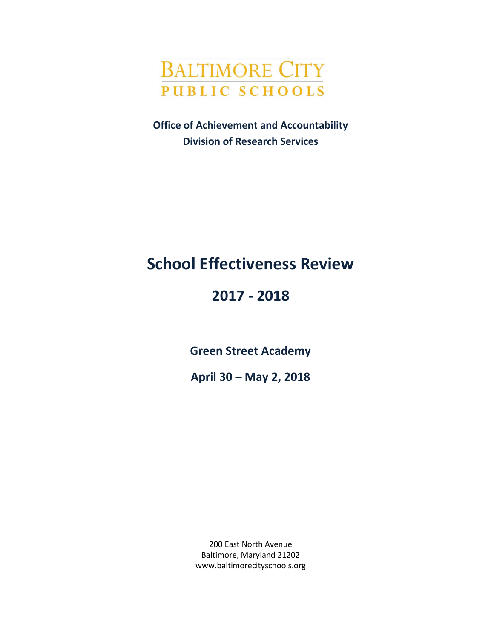

**Office of Achievement and Accountability Division of Research Services**

# **School Effectiveness Review**

# **2017 - 2018**

**Green Street Academy**

**April 30 – May 2, 2018**

200 East North Avenue Baltimore, Maryland 21202 www.baltimorecityschools.org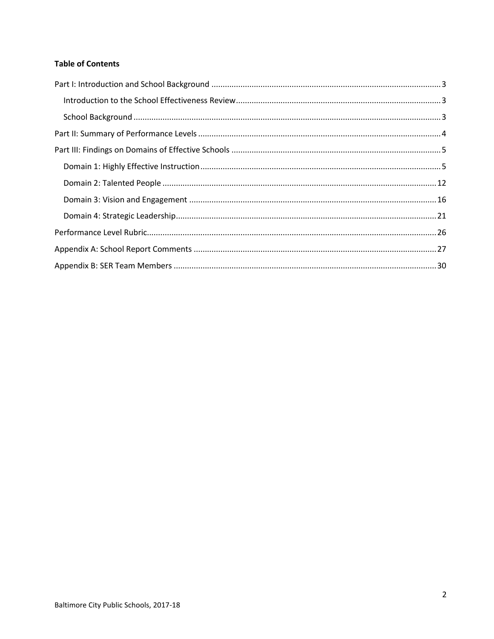### **Table of Contents**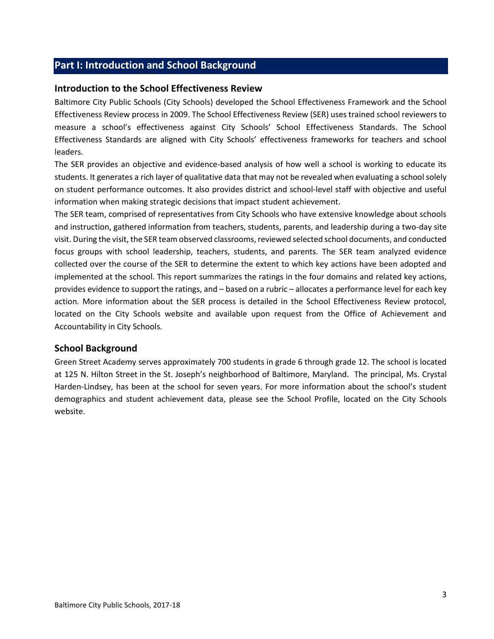# <span id="page-2-0"></span>**Part I: Introduction and School Background**

#### <span id="page-2-1"></span>**Introduction to the School Effectiveness Review**

Baltimore City Public Schools (City Schools) developed the School Effectiveness Framework and the School Effectiveness Review process in 2009. The School Effectiveness Review (SER) uses trained school reviewers to measure a school's effectiveness against City Schools' School Effectiveness Standards. The School Effectiveness Standards are aligned with City Schools' effectiveness frameworks for teachers and school leaders.

The SER provides an objective and evidence-based analysis of how well a school is working to educate its students. It generates a rich layer of qualitative data that may not be revealed when evaluating a school solely on student performance outcomes. It also provides district and school-level staff with objective and useful information when making strategic decisions that impact student achievement.

The SER team, comprised of representatives from City Schools who have extensive knowledge about schools and instruction, gathered information from teachers, students, parents, and leadership during a two-day site visit. During the visit, the SER team observed classrooms, reviewed selected school documents, and conducted focus groups with school leadership, teachers, students, and parents. The SER team analyzed evidence collected over the course of the SER to determine the extent to which key actions have been adopted and implemented at the school. This report summarizes the ratings in the four domains and related key actions, provides evidence to support the ratings, and – based on a rubric – allocates a performance level for each key action. More information about the SER process is detailed in the School Effectiveness Review protocol, located on the City Schools website and available upon request from the Office of Achievement and Accountability in City Schools.

#### <span id="page-2-2"></span>**School Background**

Green Street Academy serves approximately 700 students in grade 6 through grade 12. The school is located at 125 N. Hilton Street in the St. Joseph's neighborhood of Baltimore, Maryland. The principal, Ms. Crystal Harden-Lindsey, has been at the school for seven years. For more information about the school's student demographics and student achievement data, please see the School Profile, located on the City Schools website.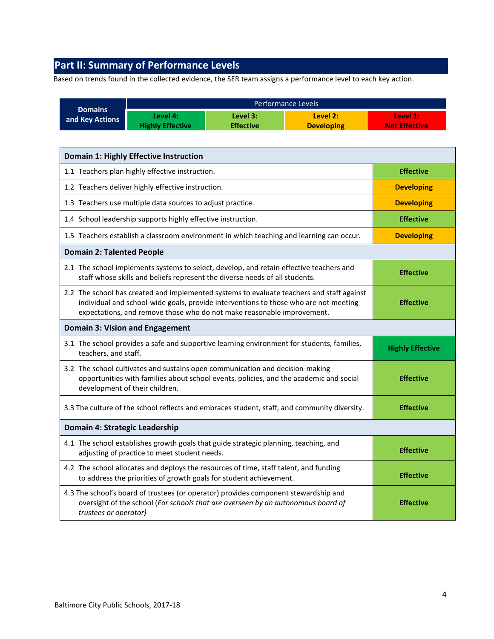# <span id="page-3-0"></span>**Part II: Summary of Performance Levels**

Based on trends found in the collected evidence, the SER team assigns a performance level to each key action.

|                                                                                                                                                                                                                                                                                 | Performance Levels                                                                                                                                                      |                              |                                                                                              |                                  |  |  |
|---------------------------------------------------------------------------------------------------------------------------------------------------------------------------------------------------------------------------------------------------------------------------------|-------------------------------------------------------------------------------------------------------------------------------------------------------------------------|------------------------------|----------------------------------------------------------------------------------------------|----------------------------------|--|--|
| <b>Domains</b><br>and Key Actions                                                                                                                                                                                                                                               | Level 4:<br><b>Highly Effective</b>                                                                                                                                     | Level 3:<br><b>Effective</b> | Level 2:<br><b>Developing</b>                                                                | Level 1:<br><b>Not Effective</b> |  |  |
|                                                                                                                                                                                                                                                                                 |                                                                                                                                                                         |                              |                                                                                              |                                  |  |  |
|                                                                                                                                                                                                                                                                                 | <b>Domain 1: Highly Effective Instruction</b>                                                                                                                           |                              |                                                                                              |                                  |  |  |
|                                                                                                                                                                                                                                                                                 | 1.1 Teachers plan highly effective instruction.                                                                                                                         |                              |                                                                                              | <b>Effective</b>                 |  |  |
|                                                                                                                                                                                                                                                                                 | 1.2 Teachers deliver highly effective instruction.                                                                                                                      |                              |                                                                                              | <b>Developing</b>                |  |  |
|                                                                                                                                                                                                                                                                                 | 1.3 Teachers use multiple data sources to adjust practice.                                                                                                              |                              |                                                                                              | <b>Developing</b>                |  |  |
|                                                                                                                                                                                                                                                                                 | 1.4 School leadership supports highly effective instruction.                                                                                                            |                              |                                                                                              | <b>Effective</b>                 |  |  |
|                                                                                                                                                                                                                                                                                 |                                                                                                                                                                         |                              | 1.5 Teachers establish a classroom environment in which teaching and learning can occur.     | <b>Developing</b>                |  |  |
| <b>Domain 2: Talented People</b>                                                                                                                                                                                                                                                |                                                                                                                                                                         |                              |                                                                                              |                                  |  |  |
|                                                                                                                                                                                                                                                                                 | 2.1 The school implements systems to select, develop, and retain effective teachers and<br>staff whose skills and beliefs represent the diverse needs of all students.  |                              |                                                                                              | <b>Effective</b>                 |  |  |
| 2.2 The school has created and implemented systems to evaluate teachers and staff against<br>individual and school-wide goals, provide interventions to those who are not meeting<br><b>Effective</b><br>expectations, and remove those who do not make reasonable improvement. |                                                                                                                                                                         |                              |                                                                                              |                                  |  |  |
|                                                                                                                                                                                                                                                                                 | <b>Domain 3: Vision and Engagement</b>                                                                                                                                  |                              |                                                                                              |                                  |  |  |
| teachers, and staff.                                                                                                                                                                                                                                                            |                                                                                                                                                                         |                              | 3.1 The school provides a safe and supportive learning environment for students, families,   | <b>Highly Effective</b>          |  |  |
| 3.2 The school cultivates and sustains open communication and decision-making<br>opportunities with families about school events, policies, and the academic and social<br>development of their children.                                                                       |                                                                                                                                                                         |                              |                                                                                              | <b>Effective</b>                 |  |  |
|                                                                                                                                                                                                                                                                                 |                                                                                                                                                                         |                              | 3.3 The culture of the school reflects and embraces student, staff, and community diversity. | <b>Effective</b>                 |  |  |
| Domain 4: Strategic Leadership                                                                                                                                                                                                                                                  |                                                                                                                                                                         |                              |                                                                                              |                                  |  |  |
|                                                                                                                                                                                                                                                                                 | 4.1 The school establishes growth goals that guide strategic planning, teaching, and<br>adjusting of practice to meet student needs.                                    |                              |                                                                                              | <b>Effective</b>                 |  |  |
|                                                                                                                                                                                                                                                                                 | 4.2 The school allocates and deploys the resources of time, staff talent, and funding<br>to address the priorities of growth goals for student achievement.             |                              |                                                                                              | <b>Effective</b>                 |  |  |
| trustees or operator)                                                                                                                                                                                                                                                           | 4.3 The school's board of trustees (or operator) provides component stewardship and<br>oversight of the school (For schools that are overseen by an autonomous board of |                              |                                                                                              | <b>Effective</b>                 |  |  |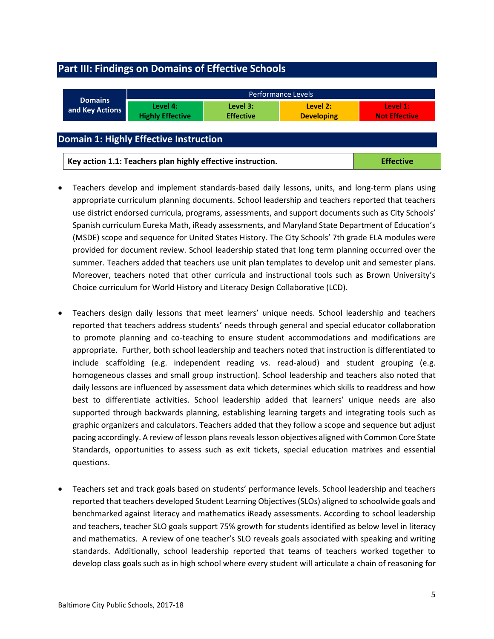# <span id="page-4-0"></span>**Part III: Findings on Domains of Effective Schools**

<span id="page-4-1"></span>

| <b>Domains</b>                                | <b>Performance Levels</b>                                   |                              |                               |                                  |  |
|-----------------------------------------------|-------------------------------------------------------------|------------------------------|-------------------------------|----------------------------------|--|
| and Key Actions                               | Level 4:<br><b>Highly Effective</b>                         | Level 3:<br><b>Effective</b> | Level 2:<br><b>Developing</b> | Level 1:<br><b>Not Effective</b> |  |
| <b>Domain 1: Highly Effective Instruction</b> |                                                             |                              |                               |                                  |  |
|                                               | Key action 1.1: Teachers plan highly effective instruction. |                              |                               | <b>Effective</b>                 |  |

- Teachers develop and implement standards-based daily lessons, units, and long-term plans using appropriate curriculum planning documents. School leadership and teachers reported that teachers use district endorsed curricula, programs, assessments, and support documents such as City Schools' Spanish curriculum Eureka Math, iReady assessments, and Maryland State Department of Education's (MSDE) scope and sequence for United States History. The City Schools' 7th grade ELA modules were provided for document review. School leadership stated that long term planning occurred over the summer. Teachers added that teachers use unit plan templates to develop unit and semester plans. Moreover, teachers noted that other curricula and instructional tools such as Brown University's Choice curriculum for World History and Literacy Design Collaborative (LCD).
- Teachers design daily lessons that meet learners' unique needs. School leadership and teachers reported that teachers address students' needs through general and special educator collaboration to promote planning and co-teaching to ensure student accommodations and modifications are appropriate. Further, both school leadership and teachers noted that instruction is differentiated to include scaffolding (e.g. independent reading vs. read-aloud) and student grouping (e.g. homogeneous classes and small group instruction). School leadership and teachers also noted that daily lessons are influenced by assessment data which determines which skills to readdress and how best to differentiate activities. School leadership added that learners' unique needs are also supported through backwards planning, establishing learning targets and integrating tools such as graphic organizers and calculators. Teachers added that they follow a scope and sequence but adjust pacing accordingly. A review of lesson plans reveals lesson objectives aligned with Common Core State Standards, opportunities to assess such as exit tickets, special education matrixes and essential questions.
- Teachers set and track goals based on students' performance levels. School leadership and teachers reported that teachers developed Student Learning Objectives (SLOs) aligned to schoolwide goals and benchmarked against literacy and mathematics iReady assessments. According to school leadership and teachers, teacher SLO goals support 75% growth for students identified as below level in literacy and mathematics. A review of one teacher's SLO reveals goals associated with speaking and writing standards. Additionally, school leadership reported that teams of teachers worked together to develop class goals such as in high school where every student will articulate a chain of reasoning for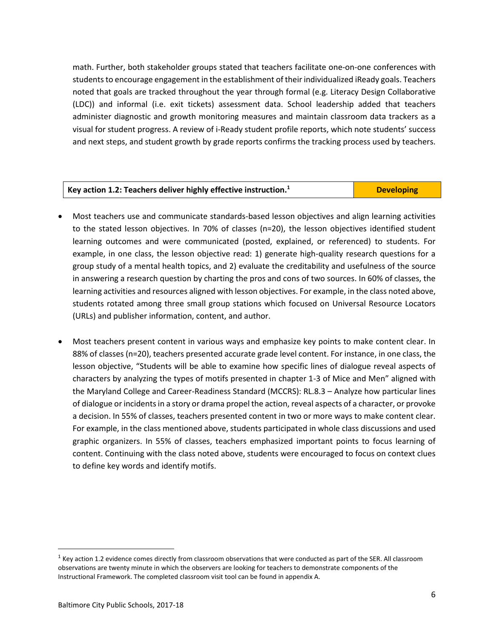math. Further, both stakeholder groups stated that teachers facilitate one-on-one conferences with students to encourage engagement in the establishment of their individualized iReady goals. Teachers noted that goals are tracked throughout the year through formal (e.g. Literacy Design Collaborative (LDC)) and informal (i.e. exit tickets) assessment data. School leadership added that teachers administer diagnostic and growth monitoring measures and maintain classroom data trackers as a visual for student progress. A review of i-Ready student profile reports, which note students' success and next steps, and student growth by grade reports confirms the tracking process used by teachers.

| $\vert$ Key action 1.2: Teachers deliver highly effective instruction. <sup>1</sup> | <b>Developing</b> |
|-------------------------------------------------------------------------------------|-------------------|

- Most teachers use and communicate standards-based lesson objectives and align learning activities to the stated lesson objectives. In 70% of classes (n=20), the lesson objectives identified student learning outcomes and were communicated (posted, explained, or referenced) to students. For example, in one class, the lesson objective read: 1) generate high-quality research questions for a group study of a mental health topics, and 2) evaluate the creditability and usefulness of the source in answering a research question by charting the pros and cons of two sources. In 60% of classes, the learning activities and resources aligned with lesson objectives. For example, in the class noted above, students rotated among three small group stations which focused on Universal Resource Locators (URLs) and publisher information, content, and author.
- Most teachers present content in various ways and emphasize key points to make content clear. In 88% of classes (n=20), teachers presented accurate grade level content. For instance, in one class, the lesson objective, "Students will be able to examine how specific lines of dialogue reveal aspects of characters by analyzing the types of motifs presented in chapter 1-3 of Mice and Men" aligned with the Maryland College and Career-Readiness Standard (MCCRS): RL.8.3 – Analyze how particular lines of dialogue or incidents in a story or drama propel the action, reveal aspects of a character, or provoke a decision. In 55% of classes, teachers presented content in two or more ways to make content clear. For example, in the class mentioned above, students participated in whole class discussions and used graphic organizers. In 55% of classes, teachers emphasized important points to focus learning of content. Continuing with the class noted above, students were encouraged to focus on context clues to define key words and identify motifs.

 $\overline{a}$ 

 $1$  Key action 1.2 evidence comes directly from classroom observations that were conducted as part of the SER. All classroom observations are twenty minute in which the observers are looking for teachers to demonstrate components of the Instructional Framework. The completed classroom visit tool can be found in appendix A.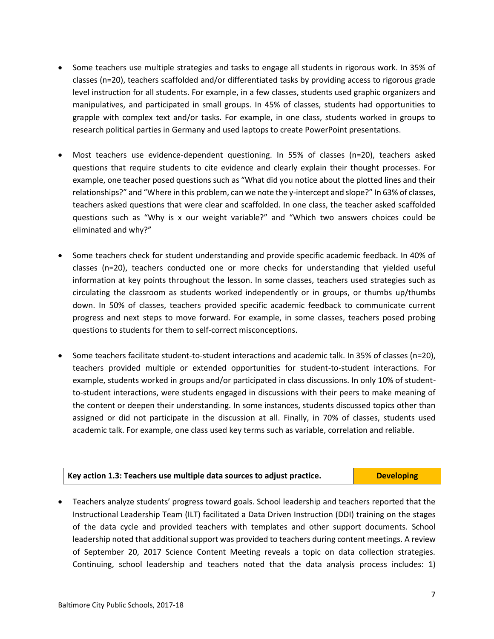- Some teachers use multiple strategies and tasks to engage all students in rigorous work. In 35% of classes (n=20), teachers scaffolded and/or differentiated tasks by providing access to rigorous grade level instruction for all students. For example, in a few classes, students used graphic organizers and manipulatives, and participated in small groups. In 45% of classes, students had opportunities to grapple with complex text and/or tasks. For example, in one class, students worked in groups to research political parties in Germany and used laptops to create PowerPoint presentations.
- Most teachers use evidence-dependent questioning. In 55% of classes (n=20), teachers asked questions that require students to cite evidence and clearly explain their thought processes. For example, one teacher posed questions such as "What did you notice about the plotted lines and their relationships?" and "Where in this problem, can we note the y-intercept and slope?" In 63% of classes, teachers asked questions that were clear and scaffolded. In one class, the teacher asked scaffolded questions such as "Why is x our weight variable?" and "Which two answers choices could be eliminated and why?"
- Some teachers check for student understanding and provide specific academic feedback. In 40% of classes (n=20), teachers conducted one or more checks for understanding that yielded useful information at key points throughout the lesson. In some classes, teachers used strategies such as circulating the classroom as students worked independently or in groups, or thumbs up/thumbs down. In 50% of classes, teachers provided specific academic feedback to communicate current progress and next steps to move forward. For example, in some classes, teachers posed probing questions to students for them to self-correct misconceptions.
- Some teachers facilitate student-to-student interactions and academic talk. In 35% of classes (n=20), teachers provided multiple or extended opportunities for student-to-student interactions. For example, students worked in groups and/or participated in class discussions. In only 10% of studentto-student interactions, were students engaged in discussions with their peers to make meaning of the content or deepen their understanding. In some instances, students discussed topics other than assigned or did not participate in the discussion at all. Finally, in 70% of classes, students used academic talk. For example, one class used key terms such as variable, correlation and reliable.

| Key action 1.3: Teachers use multiple data sources to adjust practice. | <b>Developing</b> |
|------------------------------------------------------------------------|-------------------|
|                                                                        |                   |

 Teachers analyze students' progress toward goals. School leadership and teachers reported that the Instructional Leadership Team (ILT) facilitated a Data Driven Instruction (DDI) training on the stages of the data cycle and provided teachers with templates and other support documents. School leadership noted that additional support was provided to teachers during content meetings. A review of September 20, 2017 Science Content Meeting reveals a topic on data collection strategies. Continuing, school leadership and teachers noted that the data analysis process includes: 1)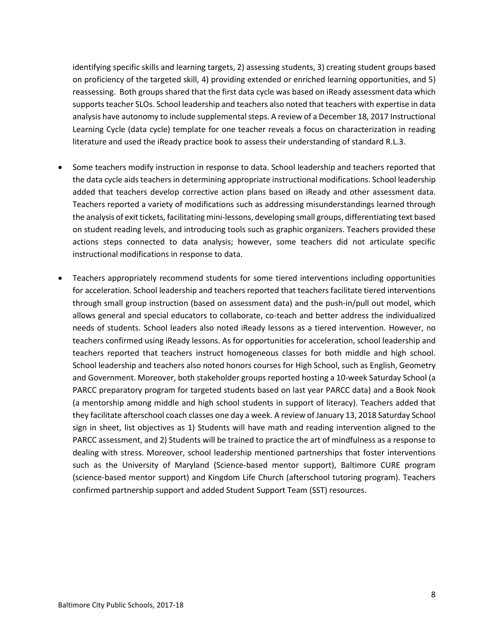identifying specific skills and learning targets, 2) assessing students, 3) creating student groups based on proficiency of the targeted skill, 4) providing extended or enriched learning opportunities, and 5) reassessing. Both groups shared that the first data cycle was based on iReady assessment data which supports teacher SLOs. School leadership and teachers also noted that teachers with expertise in data analysis have autonomy to include supplemental steps. A review of a December 18, 2017 Instructional Learning Cycle (data cycle) template for one teacher reveals a focus on characterization in reading literature and used the iReady practice book to assess their understanding of standard R.L.3.

- Some teachers modify instruction in response to data. School leadership and teachers reported that the data cycle aids teachers in determining appropriate instructional modifications. School leadership added that teachers develop corrective action plans based on iReady and other assessment data. Teachers reported a variety of modifications such as addressing misunderstandings learned through the analysis of exit tickets, facilitating mini-lessons, developing small groups, differentiating text based on student reading levels, and introducing tools such as graphic organizers. Teachers provided these actions steps connected to data analysis; however, some teachers did not articulate specific instructional modifications in response to data.
- Teachers appropriately recommend students for some tiered interventions including opportunities for acceleration. School leadership and teachers reported that teachers facilitate tiered interventions through small group instruction (based on assessment data) and the push-in/pull out model, which allows general and special educators to collaborate, co-teach and better address the individualized needs of students. School leaders also noted iReady lessons as a tiered intervention. However, no teachers confirmed using iReady lessons. As for opportunities for acceleration, school leadership and teachers reported that teachers instruct homogeneous classes for both middle and high school. School leadership and teachers also noted honors courses for High School, such as English, Geometry and Government. Moreover, both stakeholder groups reported hosting a 10-week Saturday School (a PARCC preparatory program for targeted students based on last year PARCC data) and a Book Nook (a mentorship among middle and high school students in support of literacy). Teachers added that they facilitate afterschool coach classes one day a week. A review of January 13, 2018 Saturday School sign in sheet, list objectives as 1) Students will have math and reading intervention aligned to the PARCC assessment, and 2) Students will be trained to practice the art of mindfulness as a response to dealing with stress. Moreover, school leadership mentioned partnerships that foster interventions such as the University of Maryland (Science-based mentor support), Baltimore CURE program (science-based mentor support) and Kingdom Life Church (afterschool tutoring program). Teachers confirmed partnership support and added Student Support Team (SST) resources.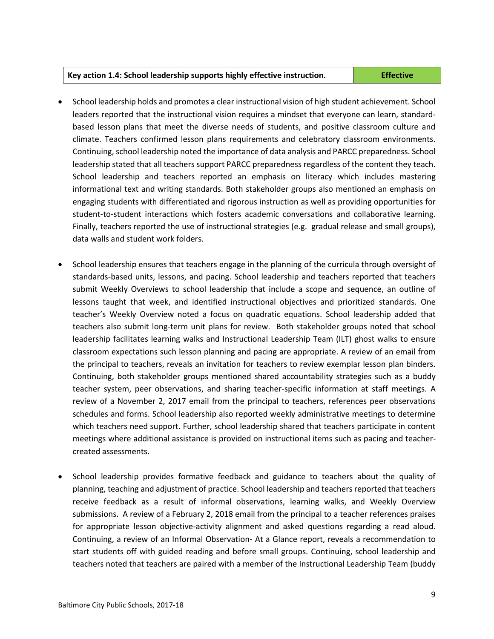#### **Key action 1.4: School leadership supports highly effective instruction. Effective**

- School leadership holds and promotes a clear instructional vision of high student achievement. School leaders reported that the instructional vision requires a mindset that everyone can learn, standardbased lesson plans that meet the diverse needs of students, and positive classroom culture and climate. Teachers confirmed lesson plans requirements and celebratory classroom environments. Continuing, school leadership noted the importance of data analysis and PARCC preparedness. School leadership stated that all teachers support PARCC preparedness regardless of the content they teach. School leadership and teachers reported an emphasis on literacy which includes mastering informational text and writing standards. Both stakeholder groups also mentioned an emphasis on engaging students with differentiated and rigorous instruction as well as providing opportunities for student-to-student interactions which fosters academic conversations and collaborative learning. Finally, teachers reported the use of instructional strategies (e.g. gradual release and small groups), data walls and student work folders.
- School leadership ensures that teachers engage in the planning of the curricula through oversight of standards-based units, lessons, and pacing. School leadership and teachers reported that teachers submit Weekly Overviews to school leadership that include a scope and sequence, an outline of lessons taught that week, and identified instructional objectives and prioritized standards. One teacher's Weekly Overview noted a focus on quadratic equations. School leadership added that teachers also submit long-term unit plans for review. Both stakeholder groups noted that school leadership facilitates learning walks and Instructional Leadership Team (ILT) ghost walks to ensure classroom expectations such lesson planning and pacing are appropriate. A review of an email from the principal to teachers, reveals an invitation for teachers to review exemplar lesson plan binders. Continuing, both stakeholder groups mentioned shared accountability strategies such as a buddy teacher system, peer observations, and sharing teacher-specific information at staff meetings. A review of a November 2, 2017 email from the principal to teachers, references peer observations schedules and forms. School leadership also reported weekly administrative meetings to determine which teachers need support. Further, school leadership shared that teachers participate in content meetings where additional assistance is provided on instructional items such as pacing and teachercreated assessments.
- School leadership provides formative feedback and guidance to teachers about the quality of planning, teaching and adjustment of practice. School leadership and teachers reported that teachers receive feedback as a result of informal observations, learning walks, and Weekly Overview submissions. A review of a February 2, 2018 email from the principal to a teacher references praises for appropriate lesson objective-activity alignment and asked questions regarding a read aloud. Continuing, a review of an Informal Observation- At a Glance report, reveals a recommendation to start students off with guided reading and before small groups. Continuing, school leadership and teachers noted that teachers are paired with a member of the Instructional Leadership Team (buddy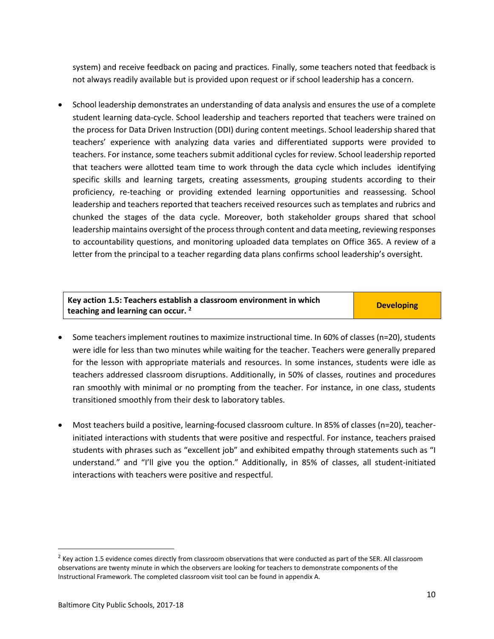system) and receive feedback on pacing and practices. Finally, some teachers noted that feedback is not always readily available but is provided upon request or if school leadership has a concern.

 School leadership demonstrates an understanding of data analysis and ensures the use of a complete student learning data-cycle. School leadership and teachers reported that teachers were trained on the process for Data Driven Instruction (DDI) during content meetings. School leadership shared that teachers' experience with analyzing data varies and differentiated supports were provided to teachers. For instance, some teachers submit additional cycles for review. School leadership reported that teachers were allotted team time to work through the data cycle which includes identifying specific skills and learning targets, creating assessments, grouping students according to their proficiency, re-teaching or providing extended learning opportunities and reassessing. School leadership and teachers reported that teachers received resources such as templates and rubrics and chunked the stages of the data cycle. Moreover, both stakeholder groups shared that school leadership maintains oversight of the process through content and data meeting, reviewing responses to accountability questions, and monitoring uploaded data templates on Office 365. A review of a letter from the principal to a teacher regarding data plans confirms school leadership's oversight.

#### **Key action 1.5: Teachers establish a classroom environment in which teaching and learning can occur. <sup>2</sup> Developing**

- Some teachers implement routines to maximize instructional time. In 60% of classes (n=20), students were idle for less than two minutes while waiting for the teacher. Teachers were generally prepared for the lesson with appropriate materials and resources. In some instances, students were idle as teachers addressed classroom disruptions. Additionally, in 50% of classes, routines and procedures ran smoothly with minimal or no prompting from the teacher. For instance, in one class, students transitioned smoothly from their desk to laboratory tables.
- Most teachers build a positive, learning-focused classroom culture. In 85% of classes (n=20), teacherinitiated interactions with students that were positive and respectful. For instance, teachers praised students with phrases such as "excellent job" and exhibited empathy through statements such as "I understand." and "I'll give you the option." Additionally, in 85% of classes, all student-initiated interactions with teachers were positive and respectful.

 $\overline{a}$ 

<sup>&</sup>lt;sup>2</sup> Key action 1.5 evidence comes directly from classroom observations that were conducted as part of the SER. All classroom observations are twenty minute in which the observers are looking for teachers to demonstrate components of the Instructional Framework. The completed classroom visit tool can be found in appendix A.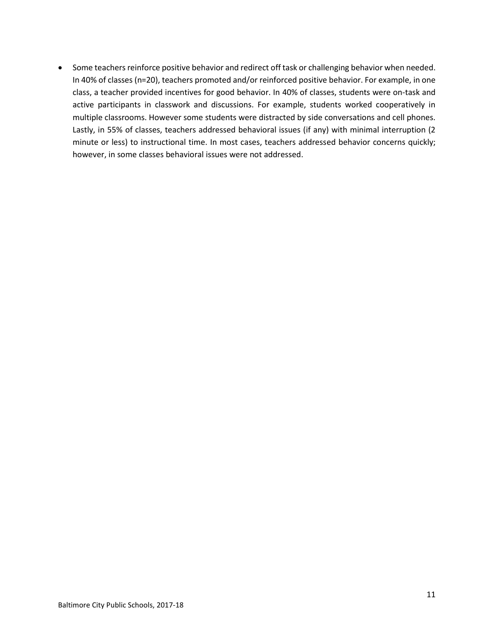• Some teachers reinforce positive behavior and redirect off task or challenging behavior when needed. In 40% of classes (n=20), teachers promoted and/or reinforced positive behavior. For example, in one class, a teacher provided incentives for good behavior. In 40% of classes, students were on-task and active participants in classwork and discussions. For example, students worked cooperatively in multiple classrooms. However some students were distracted by side conversations and cell phones. Lastly, in 55% of classes, teachers addressed behavioral issues (if any) with minimal interruption (2 minute or less) to instructional time. In most cases, teachers addressed behavior concerns quickly; however, in some classes behavioral issues were not addressed.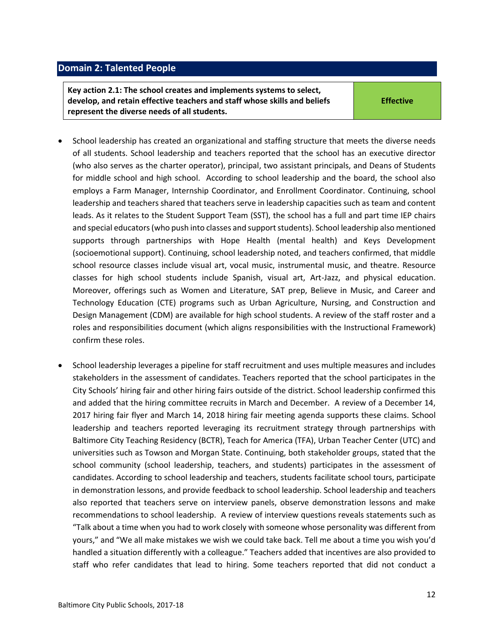#### <span id="page-11-0"></span>**Domain 2: Talented People**

**Key action 2.1: The school creates and implements systems to select, develop, and retain effective teachers and staff whose skills and beliefs represent the diverse needs of all students.**

**Effective**

- School leadership has created an organizational and staffing structure that meets the diverse needs of all students. School leadership and teachers reported that the school has an executive director (who also serves as the charter operator), principal, two assistant principals, and Deans of Students for middle school and high school. According to school leadership and the board, the school also employs a Farm Manager, Internship Coordinator, and Enrollment Coordinator. Continuing, school leadership and teachers shared that teachers serve in leadership capacities such as team and content leads. As it relates to the Student Support Team (SST), the school has a full and part time IEP chairs and special educators (who push into classes and support students). School leadership also mentioned supports through partnerships with Hope Health (mental health) and Keys Development (socioemotional support). Continuing, school leadership noted, and teachers confirmed, that middle school resource classes include visual art, vocal music, instrumental music, and theatre. Resource classes for high school students include Spanish, visual art, Art-Jazz, and physical education. Moreover, offerings such as Women and Literature, SAT prep, Believe in Music, and Career and Technology Education (CTE) programs such as Urban Agriculture, Nursing, and Construction and Design Management (CDM) are available for high school students. A review of the staff roster and a roles and responsibilities document (which aligns responsibilities with the Instructional Framework) confirm these roles.
- School leadership leverages a pipeline for staff recruitment and uses multiple measures and includes stakeholders in the assessment of candidates. Teachers reported that the school participates in the City Schools' hiring fair and other hiring fairs outside of the district. School leadership confirmed this and added that the hiring committee recruits in March and December. A review of a December 14, 2017 hiring fair flyer and March 14, 2018 hiring fair meeting agenda supports these claims. School leadership and teachers reported leveraging its recruitment strategy through partnerships with Baltimore City Teaching Residency (BCTR), Teach for America (TFA), Urban Teacher Center (UTC) and universities such as Towson and Morgan State. Continuing, both stakeholder groups, stated that the school community (school leadership, teachers, and students) participates in the assessment of candidates. According to school leadership and teachers, students facilitate school tours, participate in demonstration lessons, and provide feedback to school leadership. School leadership and teachers also reported that teachers serve on interview panels, observe demonstration lessons and make recommendations to school leadership. A review of interview questions reveals statements such as "Talk about a time when you had to work closely with someone whose personality was different from yours," and "We all make mistakes we wish we could take back. Tell me about a time you wish you'd handled a situation differently with a colleague." Teachers added that incentives are also provided to staff who refer candidates that lead to hiring. Some teachers reported that did not conduct a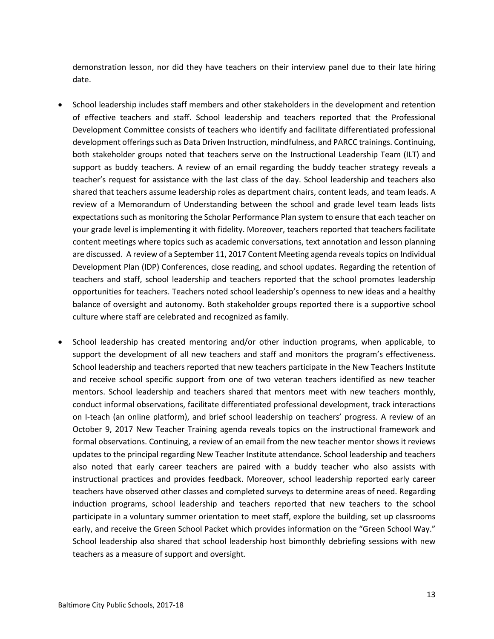demonstration lesson, nor did they have teachers on their interview panel due to their late hiring date.

- School leadership includes staff members and other stakeholders in the development and retention of effective teachers and staff. School leadership and teachers reported that the Professional Development Committee consists of teachers who identify and facilitate differentiated professional development offerings such as Data Driven Instruction, mindfulness, and PARCC trainings. Continuing, both stakeholder groups noted that teachers serve on the Instructional Leadership Team (ILT) and support as buddy teachers. A review of an email regarding the buddy teacher strategy reveals a teacher's request for assistance with the last class of the day. School leadership and teachers also shared that teachers assume leadership roles as department chairs, content leads, and team leads. A review of a Memorandum of Understanding between the school and grade level team leads lists expectations such as monitoring the Scholar Performance Plan system to ensure that each teacher on your grade level is implementing it with fidelity. Moreover, teachers reported that teachers facilitate content meetings where topics such as academic conversations, text annotation and lesson planning are discussed. A review of a September 11, 2017 Content Meeting agenda reveals topics on Individual Development Plan (IDP) Conferences, close reading, and school updates. Regarding the retention of teachers and staff, school leadership and teachers reported that the school promotes leadership opportunities for teachers. Teachers noted school leadership's openness to new ideas and a healthy balance of oversight and autonomy. Both stakeholder groups reported there is a supportive school culture where staff are celebrated and recognized as family.
- School leadership has created mentoring and/or other induction programs, when applicable, to support the development of all new teachers and staff and monitors the program's effectiveness. School leadership and teachers reported that new teachers participate in the New Teachers Institute and receive school specific support from one of two veteran teachers identified as new teacher mentors. School leadership and teachers shared that mentors meet with new teachers monthly, conduct informal observations, facilitate differentiated professional development, track interactions on I-teach (an online platform), and brief school leadership on teachers' progress. A review of an October 9, 2017 New Teacher Training agenda reveals topics on the instructional framework and formal observations. Continuing, a review of an email from the new teacher mentor shows it reviews updates to the principal regarding New Teacher Institute attendance. School leadership and teachers also noted that early career teachers are paired with a buddy teacher who also assists with instructional practices and provides feedback. Moreover, school leadership reported early career teachers have observed other classes and completed surveys to determine areas of need. Regarding induction programs, school leadership and teachers reported that new teachers to the school participate in a voluntary summer orientation to meet staff, explore the building, set up classrooms early, and receive the Green School Packet which provides information on the "Green School Way." School leadership also shared that school leadership host bimonthly debriefing sessions with new teachers as a measure of support and oversight.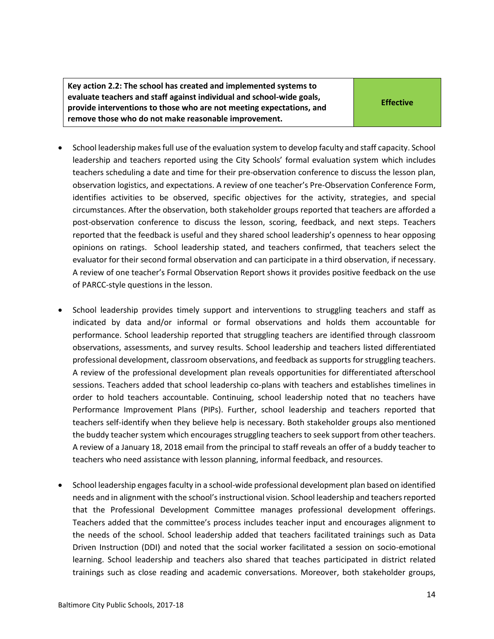**Key action 2.2: The school has created and implemented systems to evaluate teachers and staff against individual and school-wide goals, provide interventions to those who are not meeting expectations, and remove those who do not make reasonable improvement.**

- School leadership makes full use of the evaluation system to develop faculty and staff capacity. School leadership and teachers reported using the City Schools' formal evaluation system which includes teachers scheduling a date and time for their pre-observation conference to discuss the lesson plan, observation logistics, and expectations. A review of one teacher's Pre-Observation Conference Form, identifies activities to be observed, specific objectives for the activity, strategies, and special circumstances. After the observation, both stakeholder groups reported that teachers are afforded a post-observation conference to discuss the lesson, scoring, feedback, and next steps. Teachers reported that the feedback is useful and they shared school leadership's openness to hear opposing opinions on ratings. School leadership stated, and teachers confirmed, that teachers select the evaluator for their second formal observation and can participate in a third observation, if necessary. A review of one teacher's Formal Observation Report shows it provides positive feedback on the use of PARCC-style questions in the lesson.
- School leadership provides timely support and interventions to struggling teachers and staff as indicated by data and/or informal or formal observations and holds them accountable for performance. School leadership reported that struggling teachers are identified through classroom observations, assessments, and survey results. School leadership and teachers listed differentiated professional development, classroom observations, and feedback as supports for struggling teachers. A review of the professional development plan reveals opportunities for differentiated afterschool sessions. Teachers added that school leadership co-plans with teachers and establishes timelines in order to hold teachers accountable. Continuing, school leadership noted that no teachers have Performance Improvement Plans (PIPs). Further, school leadership and teachers reported that teachers self-identify when they believe help is necessary. Both stakeholder groups also mentioned the buddy teacher system which encourages struggling teachers to seek support from other teachers. A review of a January 18, 2018 email from the principal to staff reveals an offer of a buddy teacher to teachers who need assistance with lesson planning, informal feedback, and resources.
- School leadership engages faculty in a school-wide professional development plan based on identified needs and in alignment with the school's instructional vision. School leadership and teachers reported that the Professional Development Committee manages professional development offerings. Teachers added that the committee's process includes teacher input and encourages alignment to the needs of the school. School leadership added that teachers facilitated trainings such as Data Driven Instruction (DDI) and noted that the social worker facilitated a session on socio-emotional learning. School leadership and teachers also shared that teaches participated in district related trainings such as close reading and academic conversations. Moreover, both stakeholder groups,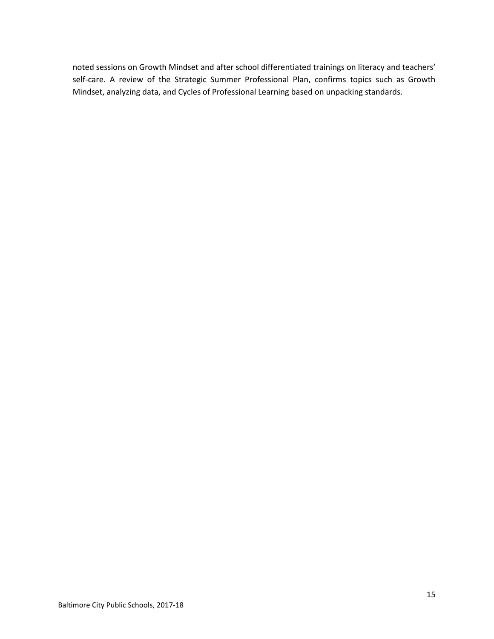<span id="page-14-0"></span>noted sessions on Growth Mindset and after school differentiated trainings on literacy and teachers' self-care. A review of the Strategic Summer Professional Plan, confirms topics such as Growth Mindset, analyzing data, and Cycles of Professional Learning based on unpacking standards.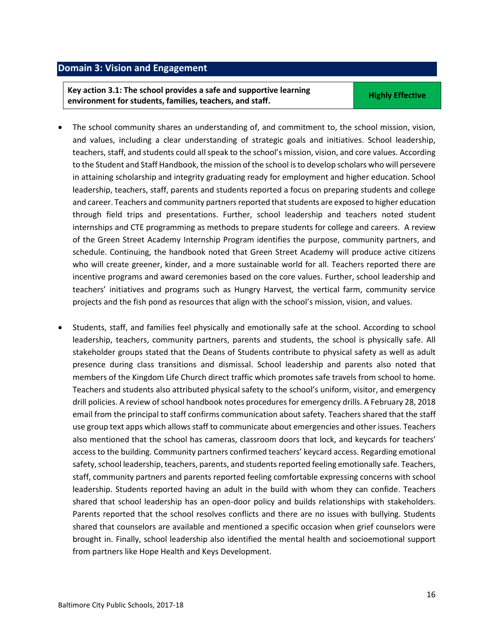## **Domain 3: Vision and Engagement**

**Key action 3.1: The school provides a safe and supportive learning example in the state of provided water and supportive reditions** of the Highly Effective environment for students, families, teachers, and staff.

- The school community shares an understanding of, and commitment to, the school mission, vision, and values, including a clear understanding of strategic goals and initiatives. School leadership, teachers, staff, and students could all speak to the school's mission, vision, and core values. According to the Student and Staff Handbook, the mission of the school is to develop scholars who will persevere in attaining scholarship and integrity graduating ready for employment and higher education. School leadership, teachers, staff, parents and students reported a focus on preparing students and college and career. Teachers and community partners reported that students are exposed to higher education through field trips and presentations. Further, school leadership and teachers noted student internships and CTE programming as methods to prepare students for college and careers. A review of the Green Street Academy Internship Program identifies the purpose, community partners, and schedule. Continuing, the handbook noted that Green Street Academy will produce active citizens who will create greener, kinder, and a more sustainable world for all. Teachers reported there are incentive programs and award ceremonies based on the core values. Further, school leadership and teachers' initiatives and programs such as Hungry Harvest, the vertical farm, community service projects and the fish pond as resources that align with the school's mission, vision, and values.
- Students, staff, and families feel physically and emotionally safe at the school. According to school leadership, teachers, community partners, parents and students, the school is physically safe. All stakeholder groups stated that the Deans of Students contribute to physical safety as well as adult presence during class transitions and dismissal. School leadership and parents also noted that members of the Kingdom Life Church direct traffic which promotes safe travels from school to home. Teachers and students also attributed physical safety to the school's uniform, visitor, and emergency drill policies. A review of school handbook notes procedures for emergency drills. A February 28, 2018 email from the principal to staff confirms communication about safety. Teachers shared that the staff use group text apps which allows staff to communicate about emergencies and other issues. Teachers also mentioned that the school has cameras, classroom doors that lock, and keycards for teachers' access to the building. Community partners confirmed teachers' keycard access. Regarding emotional safety, school leadership, teachers, parents, and students reported feeling emotionally safe. Teachers, staff, community partners and parents reported feeling comfortable expressing concerns with school leadership. Students reported having an adult in the build with whom they can confide. Teachers shared that school leadership has an open-door policy and builds relationships with stakeholders. Parents reported that the school resolves conflicts and there are no issues with bullying. Students shared that counselors are available and mentioned a specific occasion when grief counselors were brought in. Finally, school leadership also identified the mental health and socioemotional support from partners like Hope Health and Keys Development.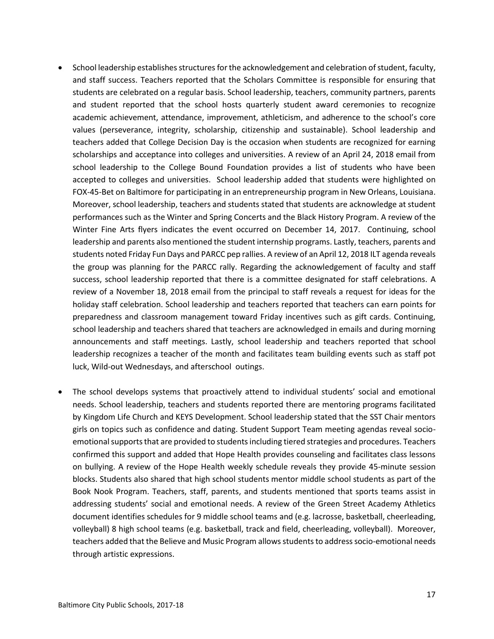- School leadership establishes structures for the acknowledgement and celebration of student, faculty, and staff success. Teachers reported that the Scholars Committee is responsible for ensuring that students are celebrated on a regular basis. School leadership, teachers, community partners, parents and student reported that the school hosts quarterly student award ceremonies to recognize academic achievement, attendance, improvement, athleticism, and adherence to the school's core values (perseverance, integrity, scholarship, citizenship and sustainable). School leadership and teachers added that College Decision Day is the occasion when students are recognized for earning scholarships and acceptance into colleges and universities. A review of an April 24, 2018 email from school leadership to the College Bound Foundation provides a list of students who have been accepted to colleges and universities. School leadership added that students were highlighted on FOX-45-Bet on Baltimore for participating in an entrepreneurship program in New Orleans, Louisiana. Moreover, school leadership, teachers and students stated that students are acknowledge at student performances such as the Winter and Spring Concerts and the Black History Program. A review of the Winter Fine Arts flyers indicates the event occurred on December 14, 2017. Continuing, school leadership and parents also mentioned the student internship programs. Lastly, teachers, parents and students noted Friday Fun Days and PARCC pep rallies. A review of an April 12, 2018 ILT agenda reveals the group was planning for the PARCC rally. Regarding the acknowledgement of faculty and staff success, school leadership reported that there is a committee designated for staff celebrations. A review of a November 18, 2018 email from the principal to staff reveals a request for ideas for the holiday staff celebration. School leadership and teachers reported that teachers can earn points for preparedness and classroom management toward Friday incentives such as gift cards. Continuing, school leadership and teachers shared that teachers are acknowledged in emails and during morning announcements and staff meetings. Lastly, school leadership and teachers reported that school leadership recognizes a teacher of the month and facilitates team building events such as staff pot luck, Wild-out Wednesdays, and afterschool outings.
- The school develops systems that proactively attend to individual students' social and emotional needs. School leadership, teachers and students reported there are mentoring programs facilitated by Kingdom Life Church and KEYS Development. School leadership stated that the SST Chair mentors girls on topics such as confidence and dating. Student Support Team meeting agendas reveal socioemotional supports that are provided to students including tiered strategies and procedures. Teachers confirmed this support and added that Hope Health provides counseling and facilitates class lessons on bullying. A review of the Hope Health weekly schedule reveals they provide 45-minute session blocks. Students also shared that high school students mentor middle school students as part of the Book Nook Program. Teachers, staff, parents, and students mentioned that sports teams assist in addressing students' social and emotional needs. A review of the Green Street Academy Athletics document identifies schedules for 9 middle school teams and (e.g. lacrosse, basketball, cheerleading, volleyball) 8 high school teams (e.g. basketball, track and field, cheerleading, volleyball). Moreover, teachers added that the Believe and Music Program allows students to address socio-emotional needs through artistic expressions.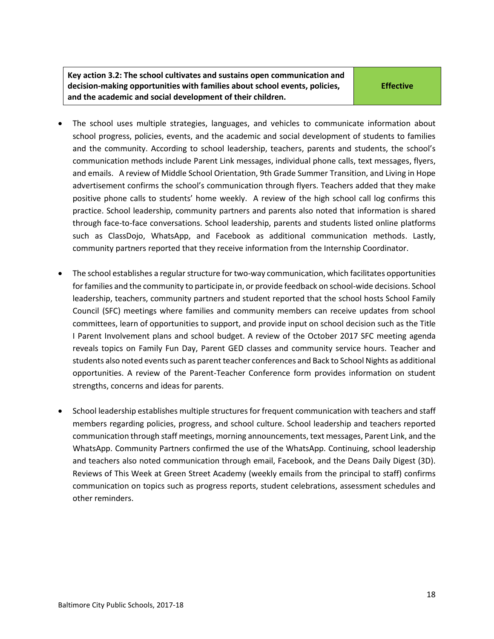**Key action 3.2: The school cultivates and sustains open communication and decision-making opportunities with families about school events, policies, and the academic and social development of their children.**

**Effective**

- The school uses multiple strategies, languages, and vehicles to communicate information about school progress, policies, events, and the academic and social development of students to families and the community. According to school leadership, teachers, parents and students, the school's communication methods include Parent Link messages, individual phone calls, text messages, flyers, and emails. A review of Middle School Orientation, 9th Grade Summer Transition, and Living in Hope advertisement confirms the school's communication through flyers. Teachers added that they make positive phone calls to students' home weekly. A review of the high school call log confirms this practice. School leadership, community partners and parents also noted that information is shared through face-to-face conversations. School leadership, parents and students listed online platforms such as ClassDojo, WhatsApp, and Facebook as additional communication methods. Lastly, community partners reported that they receive information from the Internship Coordinator.
- The school establishes a regular structure for two-way communication, which facilitates opportunities for families and the community to participate in, or provide feedback on school-wide decisions. School leadership, teachers, community partners and student reported that the school hosts School Family Council (SFC) meetings where families and community members can receive updates from school committees, learn of opportunities to support, and provide input on school decision such as the Title I Parent Involvement plans and school budget. A review of the October 2017 SFC meeting agenda reveals topics on Family Fun Day, Parent GED classes and community service hours. Teacher and students also noted events such as parent teacher conferences and Back to School Nights as additional opportunities. A review of the Parent-Teacher Conference form provides information on student strengths, concerns and ideas for parents.
- School leadership establishes multiple structures for frequent communication with teachers and staff members regarding policies, progress, and school culture. School leadership and teachers reported communication through staff meetings, morning announcements, text messages, Parent Link, and the WhatsApp. Community Partners confirmed the use of the WhatsApp. Continuing, school leadership and teachers also noted communication through email, Facebook, and the Deans Daily Digest (3D). Reviews of This Week at Green Street Academy (weekly emails from the principal to staff) confirms communication on topics such as progress reports, student celebrations, assessment schedules and other reminders.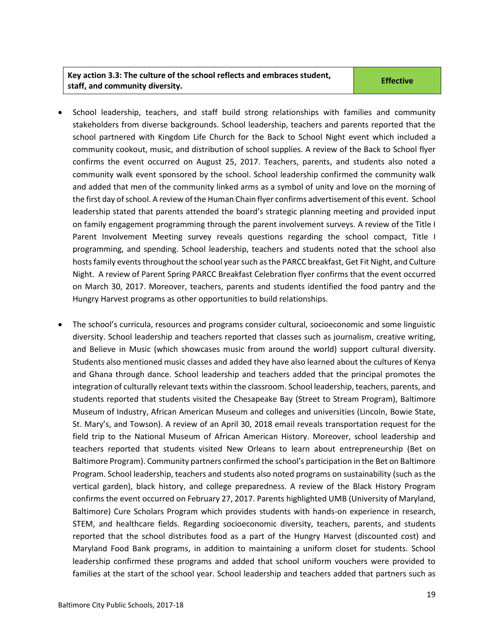#### **Key action 3.3: The culture of the school reflects and embraces student, staff, and community diversity. Effective**

- School leadership, teachers, and staff build strong relationships with families and community stakeholders from diverse backgrounds. School leadership, teachers and parents reported that the school partnered with Kingdom Life Church for the Back to School Night event which included a community cookout, music, and distribution of school supplies. A review of the Back to School flyer confirms the event occurred on August 25, 2017. Teachers, parents, and students also noted a community walk event sponsored by the school. School leadership confirmed the community walk and added that men of the community linked arms as a symbol of unity and love on the morning of the first day of school. A review of the Human Chain flyer confirms advertisement of this event. School leadership stated that parents attended the board's strategic planning meeting and provided input on family engagement programming through the parent involvement surveys. A review of the Title I Parent Involvement Meeting survey reveals questions regarding the school compact, Title I programming, and spending. School leadership, teachers and students noted that the school also hostsfamily events throughout the school year such as the PARCC breakfast, Get Fit Night, and Culture Night. A review of Parent Spring PARCC Breakfast Celebration flyer confirms that the event occurred on March 30, 2017. Moreover, teachers, parents and students identified the food pantry and the Hungry Harvest programs as other opportunities to build relationships.
- The school's curricula, resources and programs consider cultural, socioeconomic and some linguistic diversity. School leadership and teachers reported that classes such as journalism, creative writing, and Believe in Music (which showcases music from around the world) support cultural diversity. Students also mentioned music classes and added they have also learned about the cultures of Kenya and Ghana through dance. School leadership and teachers added that the principal promotes the integration of culturally relevant texts within the classroom. School leadership, teachers, parents, and students reported that students visited the Chesapeake Bay (Street to Stream Program), Baltimore Museum of Industry, African American Museum and colleges and universities (Lincoln, Bowie State, St. Mary's, and Towson). A review of an April 30, 2018 email reveals transportation request for the field trip to the National Museum of African American History. Moreover, school leadership and teachers reported that students visited New Orleans to learn about entrepreneurship (Bet on Baltimore Program). Community partners confirmed the school's participation in the Bet on Baltimore Program. School leadership, teachers and students also noted programs on sustainability (such as the vertical garden), black history, and college preparedness. A review of the Black History Program confirms the event occurred on February 27, 2017. Parents highlighted UMB (University of Maryland, Baltimore) Cure Scholars Program which provides students with hands-on experience in research, STEM, and healthcare fields. Regarding socioeconomic diversity, teachers, parents, and students reported that the school distributes food as a part of the Hungry Harvest (discounted cost) and Maryland Food Bank programs, in addition to maintaining a uniform closet for students. School leadership confirmed these programs and added that school uniform vouchers were provided to families at the start of the school year. School leadership and teachers added that partners such as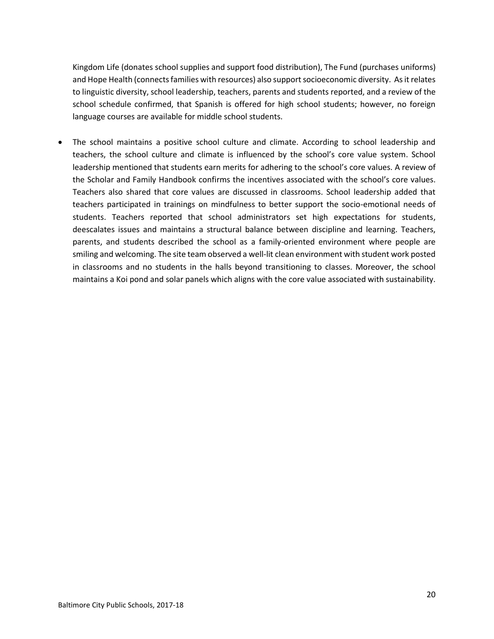Kingdom Life (donates school supplies and support food distribution), The Fund (purchases uniforms) and Hope Health (connects families with resources) also support socioeconomic diversity. As it relates to linguistic diversity, school leadership, teachers, parents and students reported, and a review of the school schedule confirmed, that Spanish is offered for high school students; however, no foreign language courses are available for middle school students.

 The school maintains a positive school culture and climate. According to school leadership and teachers, the school culture and climate is influenced by the school's core value system. School leadership mentioned that students earn merits for adhering to the school's core values. A review of the Scholar and Family Handbook confirms the incentives associated with the school's core values. Teachers also shared that core values are discussed in classrooms. School leadership added that teachers participated in trainings on mindfulness to better support the socio-emotional needs of students. Teachers reported that school administrators set high expectations for students, deescalates issues and maintains a structural balance between discipline and learning. Teachers, parents, and students described the school as a family-oriented environment where people are smiling and welcoming. The site team observed a well-lit clean environment with student work posted in classrooms and no students in the halls beyond transitioning to classes. Moreover, the school maintains a Koi pond and solar panels which aligns with the core value associated with sustainability.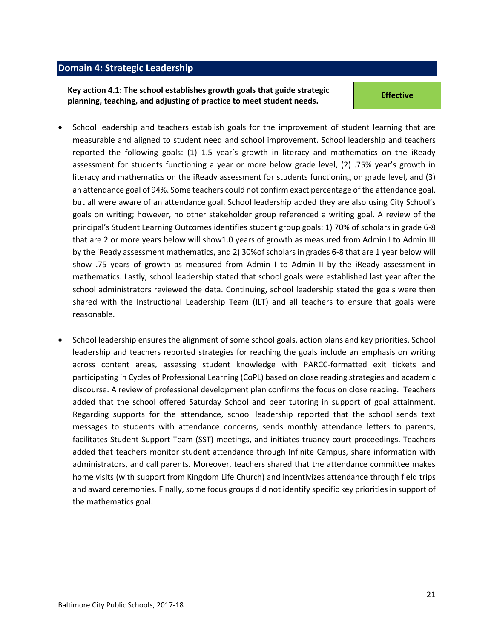#### <span id="page-20-0"></span>**Domain 4: Strategic Leadership**

**Key action 4.1: The school establishes growth goals that guide strategic planning, teaching, and adjusting of practice to meet student needs. Effective**

- School leadership and teachers establish goals for the improvement of student learning that are measurable and aligned to student need and school improvement. School leadership and teachers reported the following goals: (1) 1.5 year's growth in literacy and mathematics on the iReady assessment for students functioning a year or more below grade level, (2) .75% year's growth in literacy and mathematics on the iReady assessment for students functioning on grade level, and (3) an attendance goal of 94%. Some teachers could not confirm exact percentage of the attendance goal, but all were aware of an attendance goal. School leadership added they are also using City School's goals on writing; however, no other stakeholder group referenced a writing goal. A review of the principal's Student Learning Outcomes identifies student group goals: 1) 70% of scholars in grade 6-8 that are 2 or more years below will show1.0 years of growth as measured from Admin I to Admin III by the iReady assessment mathematics, and 2) 30%of scholars in grades 6-8 that are 1 year below will show .75 years of growth as measured from Admin I to Admin II by the iReady assessment in mathematics. Lastly, school leadership stated that school goals were established last year after the school administrators reviewed the data. Continuing, school leadership stated the goals were then shared with the Instructional Leadership Team (ILT) and all teachers to ensure that goals were reasonable.
- School leadership ensures the alignment of some school goals, action plans and key priorities. School leadership and teachers reported strategies for reaching the goals include an emphasis on writing across content areas, assessing student knowledge with PARCC-formatted exit tickets and participating in Cycles of Professional Learning (CoPL) based on close reading strategies and academic discourse. A review of professional development plan confirms the focus on close reading. Teachers added that the school offered Saturday School and peer tutoring in support of goal attainment. Regarding supports for the attendance, school leadership reported that the school sends text messages to students with attendance concerns, sends monthly attendance letters to parents, facilitates Student Support Team (SST) meetings, and initiates truancy court proceedings. Teachers added that teachers monitor student attendance through Infinite Campus, share information with administrators, and call parents. Moreover, teachers shared that the attendance committee makes home visits (with support from Kingdom Life Church) and incentivizes attendance through field trips and award ceremonies. Finally, some focus groups did not identify specific key priorities in support of the mathematics goal.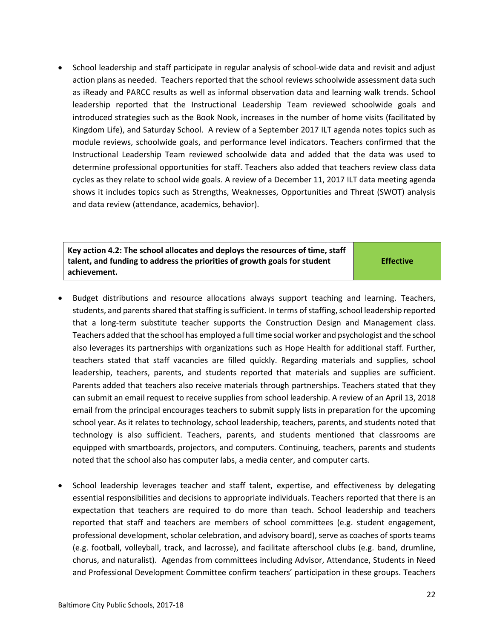School leadership and staff participate in regular analysis of school-wide data and revisit and adjust action plans as needed. Teachers reported that the school reviews schoolwide assessment data such as iReady and PARCC results as well as informal observation data and learning walk trends. School leadership reported that the Instructional Leadership Team reviewed schoolwide goals and introduced strategies such as the Book Nook, increases in the number of home visits (facilitated by Kingdom Life), and Saturday School. A review of a September 2017 ILT agenda notes topics such as module reviews, schoolwide goals, and performance level indicators. Teachers confirmed that the Instructional Leadership Team reviewed schoolwide data and added that the data was used to determine professional opportunities for staff. Teachers also added that teachers review class data cycles as they relate to school wide goals. A review of a December 11, 2017 ILT data meeting agenda shows it includes topics such as Strengths, Weaknesses, Opportunities and Threat (SWOT) analysis and data review (attendance, academics, behavior).

**Key action 4.2: The school allocates and deploys the resources of time, staff talent, and funding to address the priorities of growth goals for student achievement.** 

**Effective**

- Budget distributions and resource allocations always support teaching and learning. Teachers, students, and parents shared that staffing is sufficient. In terms of staffing, school leadership reported that a long-term substitute teacher supports the Construction Design and Management class. Teachers added that the school has employed a full time social worker and psychologist and the school also leverages its partnerships with organizations such as Hope Health for additional staff. Further, teachers stated that staff vacancies are filled quickly. Regarding materials and supplies, school leadership, teachers, parents, and students reported that materials and supplies are sufficient. Parents added that teachers also receive materials through partnerships. Teachers stated that they can submit an email request to receive supplies from school leadership. A review of an April 13, 2018 email from the principal encourages teachers to submit supply lists in preparation for the upcoming school year. As it relates to technology, school leadership, teachers, parents, and students noted that technology is also sufficient. Teachers, parents, and students mentioned that classrooms are equipped with smartboards, projectors, and computers. Continuing, teachers, parents and students noted that the school also has computer labs, a media center, and computer carts.
- School leadership leverages teacher and staff talent, expertise, and effectiveness by delegating essential responsibilities and decisions to appropriate individuals. Teachers reported that there is an expectation that teachers are required to do more than teach. School leadership and teachers reported that staff and teachers are members of school committees (e.g. student engagement, professional development, scholar celebration, and advisory board), serve as coaches of sports teams (e.g. football, volleyball, track, and lacrosse), and facilitate afterschool clubs (e.g. band, drumline, chorus, and naturalist). Agendas from committees including Advisor, Attendance, Students in Need and Professional Development Committee confirm teachers' participation in these groups. Teachers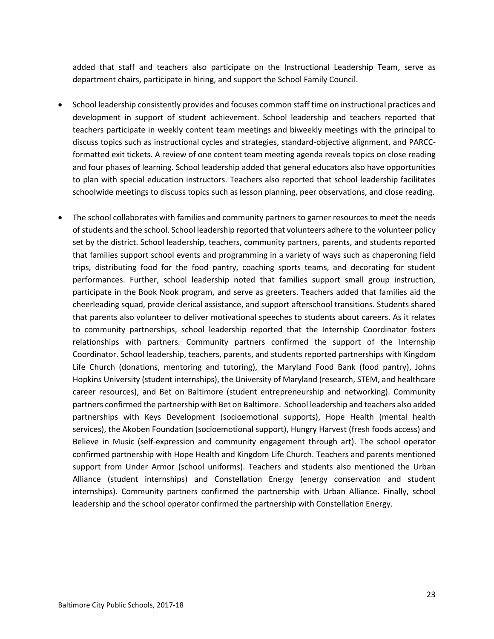added that staff and teachers also participate on the Instructional Leadership Team, serve as department chairs, participate in hiring, and support the School Family Council.

- School leadership consistently provides and focuses common staff time on instructional practices and development in support of student achievement. School leadership and teachers reported that teachers participate in weekly content team meetings and biweekly meetings with the principal to discuss topics such as instructional cycles and strategies, standard-objective alignment, and PARCCformatted exit tickets. A review of one content team meeting agenda reveals topics on close reading and four phases of learning. School leadership added that general educators also have opportunities to plan with special education instructors. Teachers also reported that school leadership facilitates schoolwide meetings to discuss topics such as lesson planning, peer observations, and close reading.
- The school collaborates with families and community partners to garner resources to meet the needs of students and the school. School leadership reported that volunteers adhere to the volunteer policy set by the district. School leadership, teachers, community partners, parents, and students reported that families support school events and programming in a variety of ways such as chaperoning field trips, distributing food for the food pantry, coaching sports teams, and decorating for student performances. Further, school leadership noted that families support small group instruction, participate in the Book Nook program, and serve as greeters. Teachers added that families aid the cheerleading squad, provide clerical assistance, and support afterschool transitions. Students shared that parents also volunteer to deliver motivational speeches to students about careers. As it relates to community partnerships, school leadership reported that the Internship Coordinator fosters relationships with partners. Community partners confirmed the support of the Internship Coordinator. School leadership, teachers, parents, and students reported partnerships with Kingdom Life Church (donations, mentoring and tutoring), the Maryland Food Bank (food pantry), Johns Hopkins University (student internships), the University of Maryland (research, STEM, and healthcare career resources), and Bet on Baltimore (student entrepreneurship and networking). Community partners confirmed the partnership with Bet on Baltimore. School leadership and teachers also added partnerships with Keys Development (socioemotional supports), Hope Health (mental health services), the Akoben Foundation (socioemotional support), Hungry Harvest (fresh foods access) and Believe in Music (self-expression and community engagement through art). The school operator confirmed partnership with Hope Health and Kingdom Life Church. Teachers and parents mentioned support from Under Armor (school uniforms). Teachers and students also mentioned the Urban Alliance (student internships) and Constellation Energy (energy conservation and student internships). Community partners confirmed the partnership with Urban Alliance. Finally, school leadership and the school operator confirmed the partnership with Constellation Energy.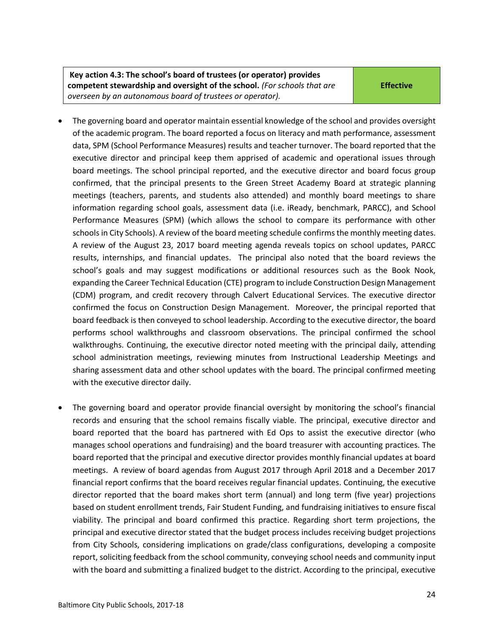- The governing board and operator maintain essential knowledge of the school and provides oversight of the academic program. The board reported a focus on literacy and math performance, assessment data, SPM (School Performance Measures) results and teacher turnover. The board reported that the executive director and principal keep them apprised of academic and operational issues through board meetings. The school principal reported, and the executive director and board focus group confirmed, that the principal presents to the Green Street Academy Board at strategic planning meetings (teachers, parents, and students also attended) and monthly board meetings to share information regarding school goals, assessment data (i.e. iReady, benchmark, PARCC), and School Performance Measures (SPM) (which allows the school to compare its performance with other schools in City Schools). A review of the board meeting schedule confirms the monthly meeting dates. A review of the August 23, 2017 board meeting agenda reveals topics on school updates, PARCC results, internships, and financial updates. The principal also noted that the board reviews the school's goals and may suggest modifications or additional resources such as the Book Nook, expanding the Career Technical Education (CTE) program to include Construction Design Management (CDM) program, and credit recovery through Calvert Educational Services. The executive director confirmed the focus on Construction Design Management. Moreover, the principal reported that board feedback is then conveyed to school leadership. According to the executive director, the board performs school walkthroughs and classroom observations. The principal confirmed the school walkthroughs. Continuing, the executive director noted meeting with the principal daily, attending school administration meetings, reviewing minutes from Instructional Leadership Meetings and sharing assessment data and other school updates with the board. The principal confirmed meeting with the executive director daily.
- The governing board and operator provide financial oversight by monitoring the school's financial records and ensuring that the school remains fiscally viable. The principal, executive director and board reported that the board has partnered with Ed Ops to assist the executive director (who manages school operations and fundraising) and the board treasurer with accounting practices. The board reported that the principal and executive director provides monthly financial updates at board meetings. A review of board agendas from August 2017 through April 2018 and a December 2017 financial report confirms that the board receives regular financial updates. Continuing, the executive director reported that the board makes short term (annual) and long term (five year) projections based on student enrollment trends, Fair Student Funding, and fundraising initiatives to ensure fiscal viability. The principal and board confirmed this practice. Regarding short term projections, the principal and executive director stated that the budget process includes receiving budget projections from City Schools, considering implications on grade/class configurations, developing a composite report, soliciting feedback from the school community, conveying school needs and community input with the board and submitting a finalized budget to the district. According to the principal, executive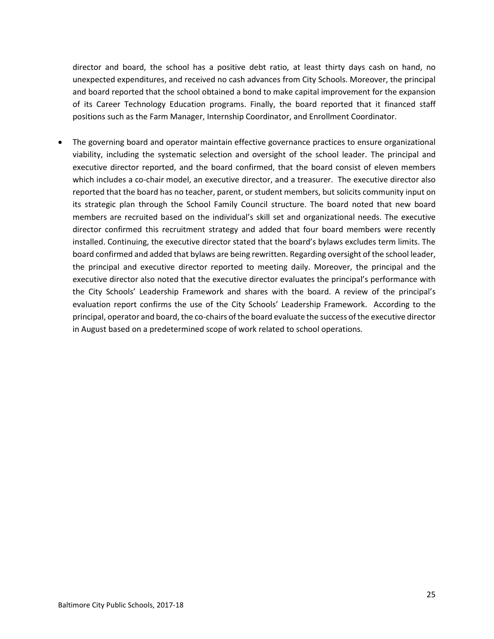director and board, the school has a positive debt ratio, at least thirty days cash on hand, no unexpected expenditures, and received no cash advances from City Schools. Moreover, the principal and board reported that the school obtained a bond to make capital improvement for the expansion of its Career Technology Education programs. Finally, the board reported that it financed staff positions such as the Farm Manager, Internship Coordinator, and Enrollment Coordinator.

<span id="page-24-0"></span> The governing board and operator maintain effective governance practices to ensure organizational viability, including the systematic selection and oversight of the school leader. The principal and executive director reported, and the board confirmed, that the board consist of eleven members which includes a co-chair model, an executive director, and a treasurer. The executive director also reported that the board has no teacher, parent, or student members, but solicits community input on its strategic plan through the School Family Council structure. The board noted that new board members are recruited based on the individual's skill set and organizational needs. The executive director confirmed this recruitment strategy and added that four board members were recently installed. Continuing, the executive director stated that the board's bylaws excludes term limits. The board confirmed and added that bylaws are being rewritten. Regarding oversight of the school leader, the principal and executive director reported to meeting daily. Moreover, the principal and the executive director also noted that the executive director evaluates the principal's performance with the City Schools' Leadership Framework and shares with the board. A review of the principal's evaluation report confirms the use of the City Schools' Leadership Framework. According to the principal, operator and board, the co-chairs of the board evaluate the success of the executive director in August based on a predetermined scope of work related to school operations.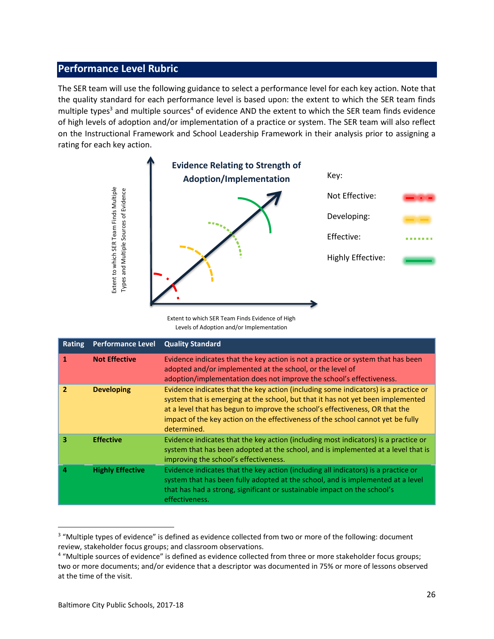### **Performance Level Rubric**

The SER team will use the following guidance to select a performance level for each key action. Note that the quality standard for each performance level is based upon: the extent to which the SER team finds multiple types<sup>3</sup> and multiple sources<sup>4</sup> of evidence AND the extent to which the SER team finds evidence of high levels of adoption and/or implementation of a practice or system. The SER team will also reflect on the Instructional Framework and School Leadership Framework in their analysis prior to assigning a rating for each key action.



|                | Extent to which SER Team Finds Multiple<br>Types and Multiple Sources of Evidence | Extent to which SER Team Finds Evidence of High<br>Levels of Adoption and/or Implementation                                                                                                                                                                                                                                                                                                                                        | Not Effective:<br>Developing:<br>Effective:<br>Highly Effective: |  |  |
|----------------|-----------------------------------------------------------------------------------|------------------------------------------------------------------------------------------------------------------------------------------------------------------------------------------------------------------------------------------------------------------------------------------------------------------------------------------------------------------------------------------------------------------------------------|------------------------------------------------------------------|--|--|
| <b>Rating</b>  | <b>Performance Level</b>                                                          | <b>Quality Standard</b>                                                                                                                                                                                                                                                                                                                                                                                                            |                                                                  |  |  |
| $\mathbf{1}$   | <b>Not Effective</b>                                                              | Evidence indicates that the key action is not a practice or system that has been<br>adopted and/or implemented at the school, or the level of<br>adoption/implementation does not improve the school's effectiveness.                                                                                                                                                                                                              |                                                                  |  |  |
| $\overline{2}$ | <b>Developing</b>                                                                 | Evidence indicates that the key action (including some indicators) is a practice or<br>system that is emerging at the school, but that it has not yet been implemented<br>at a level that has begun to improve the school's effectiveness, OR that the<br>impact of the key action on the effectiveness of the school cannot yet be fully<br>determined.                                                                           |                                                                  |  |  |
| 3              | <b>Effective</b>                                                                  | Evidence indicates that the key action (including most indicators) is a practice or<br>system that has been adopted at the school, and is implemented at a level that is<br>improving the school's effectiveness.                                                                                                                                                                                                                  |                                                                  |  |  |
| 4              | <b>Highly Effective</b>                                                           | Evidence indicates that the key action (including all indicators) is a practice or<br>system that has been fully adopted at the school, and is implemented at a level<br>that has had a strong, significant or sustainable impact on the school's<br>effectiveness.                                                                                                                                                                |                                                                  |  |  |
|                | at the time of the visit.                                                         | <sup>3</sup> "Multiple types of evidence" is defined as evidence collected from two or more of the following: document<br>review, stakeholder focus groups; and classroom observations.<br><sup>4</sup> "Multiple sources of evidence" is defined as evidence collected from three or more stakeholder focus groups;<br>two or more documents; and/or evidence that a descriptor was documented in 75% or more of lessons observed |                                                                  |  |  |

<sup>&</sup>lt;sup>3</sup> "Multiple types of evidence" is defined as evidence collected from two or more of the following: document review, stakeholder focus groups; and classroom observations.

<sup>&</sup>lt;sup>4</sup> "Multiple sources of evidence" is defined as evidence collected from three or more stakeholder focus groups; two or more documents; and/or evidence that a descriptor was documented in 75% or more of lessons observed at the time of the visit.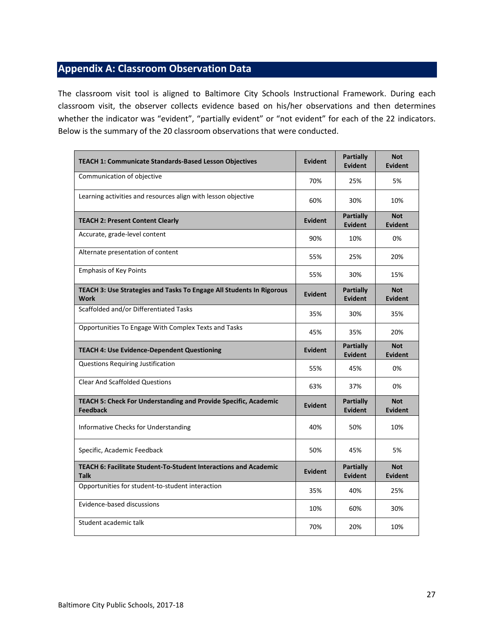# <span id="page-26-0"></span>**Appendix A: Classroom Observation Data**

The classroom visit tool is aligned to Baltimore City Schools Instructional Framework. During each classroom visit, the observer collects evidence based on his/her observations and then determines whether the indicator was "evident", "partially evident" or "not evident" for each of the 22 indicators. Below is the summary of the 20 classroom observations that were conducted.

| <b>TEACH 1: Communicate Standards-Based Lesson Objectives</b>                       | <b>Evident</b> | Partially<br><b>Evident</b>        | <b>Not</b><br><b>Evident</b> |
|-------------------------------------------------------------------------------------|----------------|------------------------------------|------------------------------|
| Communication of objective                                                          | 70%            | 25%                                | 5%                           |
| Learning activities and resources align with lesson objective                       | 60%            | 30%                                | 10%                          |
| <b>TEACH 2: Present Content Clearly</b>                                             | <b>Evident</b> | <b>Partially</b><br><b>Evident</b> | <b>Not</b><br><b>Evident</b> |
| Accurate, grade-level content                                                       | 90%            | 10%                                | 0%                           |
| Alternate presentation of content                                                   | 55%            | 25%                                | 20%                          |
| <b>Emphasis of Key Points</b>                                                       | 55%            | 30%                                | 15%                          |
| TEACH 3: Use Strategies and Tasks To Engage All Students In Rigorous<br><b>Work</b> | <b>Evident</b> | <b>Partially</b><br><b>Evident</b> | <b>Not</b><br><b>Evident</b> |
| Scaffolded and/or Differentiated Tasks                                              | 35%            | 30%                                | 35%                          |
| Opportunities To Engage With Complex Texts and Tasks                                | 45%            | 35%                                | 20%                          |
| <b>TEACH 4: Use Evidence-Dependent Questioning</b>                                  | <b>Evident</b> | <b>Partially</b><br><b>Evident</b> | <b>Not</b><br><b>Evident</b> |
| Questions Requiring Justification                                                   | 55%            | 45%                                | 0%                           |
| <b>Clear And Scaffolded Questions</b>                                               | 63%            | 37%                                | 0%                           |
| TEACH 5: Check For Understanding and Provide Specific, Academic<br><b>Feedback</b>  | <b>Evident</b> | Partially<br><b>Evident</b>        | <b>Not</b><br><b>Evident</b> |
| <b>Informative Checks for Understanding</b>                                         | 40%            | 50%                                | 10%                          |
| Specific, Academic Feedback                                                         | 50%            | 45%                                | 5%                           |
| TEACH 6: Facilitate Student-To-Student Interactions and Academic<br><b>Talk</b>     | <b>Evident</b> | <b>Partially</b><br><b>Evident</b> | <b>Not</b><br><b>Evident</b> |
| Opportunities for student-to-student interaction                                    | 35%            | 40%                                | 25%                          |
| Evidence-based discussions                                                          | 10%            | 60%                                | 30%                          |
| Student academic talk                                                               | 70%            | 20%                                | 10%                          |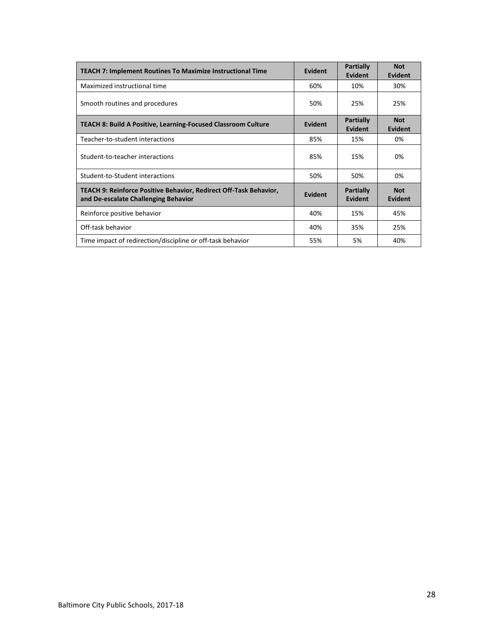| <b>TEACH 7: Implement Routines To Maximize Instructional Time</b>                                         | Evident | <b>Partially</b><br><b>Evident</b> | <b>Not</b><br>Evident |
|-----------------------------------------------------------------------------------------------------------|---------|------------------------------------|-----------------------|
| Maximized instructional time                                                                              | 60%     | 10%                                | 30%                   |
| Smooth routines and procedures                                                                            | 50%     | 25%                                | 25%                   |
| <b>TEACH 8: Build A Positive, Learning-Focused Classroom Culture</b>                                      | Evident | <b>Partially</b><br><b>Evident</b> | <b>Not</b><br>Evident |
| Teacher-to-student interactions                                                                           | 85%     | 15%                                | 0%                    |
| Student-to-teacher interactions                                                                           | 85%     | 15%                                | 0%                    |
| Student-to-Student interactions                                                                           | 50%     | 50%                                | 0%                    |
| TEACH 9: Reinforce Positive Behavior, Redirect Off-Task Behavior,<br>and De-escalate Challenging Behavior | Evident | <b>Partially</b><br>Evident        | <b>Not</b><br>Evident |
| Reinforce positive behavior                                                                               | 40%     | 15%                                | 45%                   |
| Off-task behavior                                                                                         | 40%     | 35%                                | 25%                   |
| Time impact of redirection/discipline or off-task behavior                                                | 55%     | 5%                                 | 40%                   |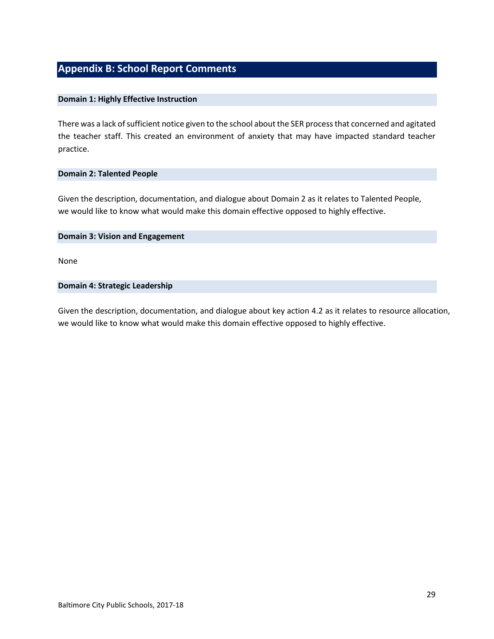# **Appendix B: School Report Comments**

#### **Domain 1: Highly Effective Instruction**

There was a lack of sufficient notice given to the school about the SER process that concerned and agitated the teacher staff. This created an environment of anxiety that may have impacted standard teacher practice.

#### **Domain 2: Talented People**

Given the description, documentation, and dialogue about Domain 2 as it relates to Talented People, we would like to know what would make this domain effective opposed to highly effective.

#### **Domain 3: Vision and Engagement**

None

#### **Domain 4: Strategic Leadership**

Given the description, documentation, and dialogue about key action 4.2 as it relates to resource allocation, we would like to know what would make this domain effective opposed to highly effective.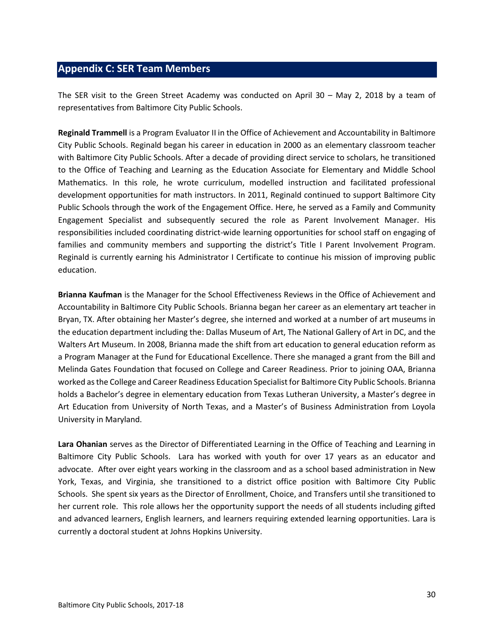## <span id="page-29-0"></span>**Appendix C: SER Team Members**

The SER visit to the Green Street Academy was conducted on April 30 – May 2, 2018 by a team of representatives from Baltimore City Public Schools.

**Reginald Trammell** is a Program Evaluator II in the Office of Achievement and Accountability in Baltimore City Public Schools. Reginald began his career in education in 2000 as an elementary classroom teacher with Baltimore City Public Schools. After a decade of providing direct service to scholars, he transitioned to the Office of Teaching and Learning as the Education Associate for Elementary and Middle School Mathematics. In this role, he wrote curriculum, modelled instruction and facilitated professional development opportunities for math instructors. In 2011, Reginald continued to support Baltimore City Public Schools through the work of the Engagement Office. Here, he served as a Family and Community Engagement Specialist and subsequently secured the role as Parent Involvement Manager. His responsibilities included coordinating district-wide learning opportunities for school staff on engaging of families and community members and supporting the district's Title I Parent Involvement Program. Reginald is currently earning his Administrator I Certificate to continue his mission of improving public education.

**Brianna Kaufman** is the Manager for the School Effectiveness Reviews in the Office of Achievement and Accountability in Baltimore City Public Schools. Brianna began her career as an elementary art teacher in Bryan, TX. After obtaining her Master's degree, she interned and worked at a number of art museums in the education department including the: Dallas Museum of Art, The National Gallery of Art in DC, and the Walters Art Museum. In 2008, Brianna made the shift from art education to general education reform as a Program Manager at the Fund for Educational Excellence. There she managed a grant from the Bill and Melinda Gates Foundation that focused on College and Career Readiness. Prior to joining OAA, Brianna worked as the College and Career Readiness Education Specialist for Baltimore City Public Schools. Brianna holds a Bachelor's degree in elementary education from Texas Lutheran University, a Master's degree in Art Education from University of North Texas, and a Master's of Business Administration from Loyola University in Maryland.

**Lara Ohanian** serves as the Director of Differentiated Learning in the Office of Teaching and Learning in Baltimore City Public Schools. Lara has worked with youth for over 17 years as an educator and advocate. After over eight years working in the classroom and as a school based administration in New York, Texas, and Virginia, she transitioned to a district office position with Baltimore City Public Schools. She spent six years as the Director of Enrollment, Choice, and Transfers until she transitioned to her current role. This role allows her the opportunity support the needs of all students including gifted and advanced learners, English learners, and learners requiring extended learning opportunities. Lara is currently a doctoral student at Johns Hopkins University.